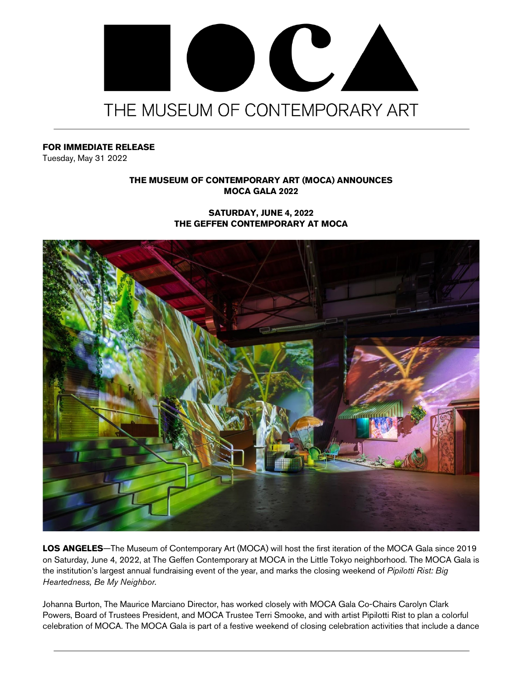

## **FOR IMMEDIATE RELEASE**

Tuesday, May 31 2022

# **THE MUSEUM OF CONTEMPORARY ART (MOCA) ANNOUNCES MOCA GALA 2022**

## **SATURDAY, JUNE 4, 2022 THE GEFFEN CONTEMPORARY AT MOCA**



**LOS ANGELES**—The Museum of Contemporary Art (MOCA) will host the first iteration of the MOCA Gala since 2019 on Saturday, June 4, 2022, at The Geffen Contemporary at MOCA in the Little Tokyo neighborhood. The MOCA Gala is the institution's largest annual fundraising event of the year, and marks the closing weekend of *Pipilotti Rist: Big Heartedness, Be My Neighbor*.

Johanna Burton, The Maurice Marciano Director, has worked closely with MOCA Gala Co-Chairs Carolyn Clark Powers, Board of Trustees President, and MOCA Trustee Terri Smooke, and with artist Pipilotti Rist to plan a colorful celebration of MOCA. The MOCA Gala is part of a festive weekend of closing celebration activities that include a dance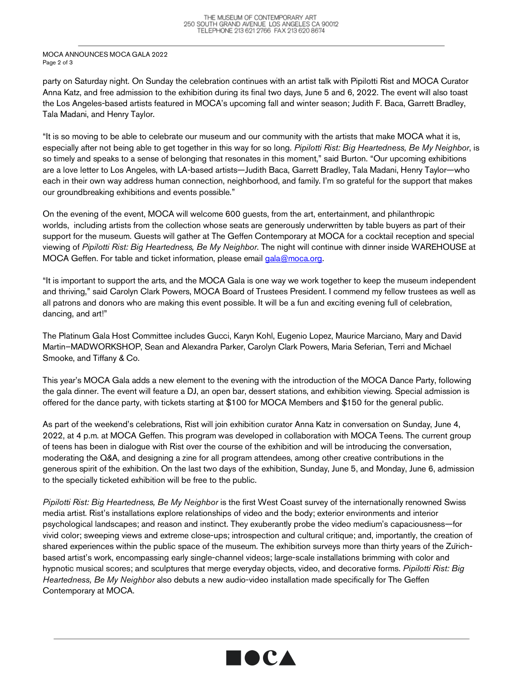#### MOCA ANNOUNCES MOCA GALA 2022 Page 2 of 3

party on Saturday night. On Sunday the celebration continues with an artist talk with Pipilotti Rist and MOCA Curator Anna Katz, and free admission to the exhibition during its final two days, June 5 and 6, 2022. The event will also toast the Los Angeles-based artists featured in MOCA's upcoming fall and winter season; Judith F. Baca, Garrett Bradley, Tala Madani, and Henry Taylor.

"It is so moving to be able to celebrate our museum and our community with the artists that make MOCA what it is, especially after not being able to get together in this way for so long. *Pipilotti Rist: Big Heartedness, Be My Neighbor*, is so timely and speaks to a sense of belonging that resonates in this moment," said Burton. "Our upcoming exhibitions are a love letter to Los Angeles, with LA-based artists—Judith Baca, Garrett Bradley, Tala Madani, Henry Taylor—who each in their own way address human connection, neighborhood, and family. I'm so grateful for the support that makes our groundbreaking exhibitions and events possible."

On the evening of the event, MOCA will welcome 600 guests, from the art, entertainment, and philanthropic worlds, including artists from the collection whose seats are generously underwritten by table buyers as part of their support for the museum. Guests will gather at The Geffen Contemporary at MOCA for a cocktail reception and special viewing of *Pipilotti Rist: Big Heartedness, Be My Neighbor*. The night will continue with dinner inside WAREHOUSE at MOCA Geffen. For table and ticket information, please email gala@moca.org.

"It is important to support the arts, and the MOCA Gala is one way we work together to keep the museum independent and thriving," said Carolyn Clark Powers, MOCA Board of Trustees President. I commend my fellow trustees as well as all patrons and donors who are making this event possible. It will be a fun and exciting evening full of celebration, dancing, and art!"

The Platinum Gala Host Committee includes Gucci, Karyn Kohl, Eugenio Lopez, Maurice Marciano, Mary and David Martin–MADWORKSHOP, Sean and Alexandra Parker, Carolyn Clark Powers, Maria Seferian, Terri and Michael Smooke, and Tiffany & Co.

This year's MOCA Gala adds a new element to the evening with the introduction of the MOCA Dance Party, following the gala dinner. The event will feature a DJ, an open bar, dessert stations, and exhibition viewing. Special admission is offered for the dance party, with tickets starting at \$100 for MOCA Members and \$150 for the general public.

As part of the weekend's celebrations, Rist will join exhibition curator Anna Katz in conversation on Sunday, June 4, 2022, at 4 p.m. at MOCA Geffen. This program was developed in collaboration with MOCA Teens. The current group of teens has been in dialogue with Rist over the course of the exhibition and will be introducing the conversation, moderating the Q&A, and designing a zine for all program attendees, among other creative contributions in the generous spirit of the exhibition. On the last two days of the exhibition, Sunday, June 5, and Monday, June 6, admission to the specially ticketed exhibition will be free to the public.

*Pipilotti Rist: Big Heartedness, Be My Neighbor* is the first West Coast survey of the internationally renowned Swiss media artist. Rist's installations explore relationships of video and the body; exterior environments and interior psychological landscapes; and reason and instinct. They exuberantly probe the video medium's capaciousness—for vivid color; sweeping views and extreme close-ups; introspection and cultural critique; and, importantly, the creation of shared experiences within the public space of the museum. The exhibition surveys more than thirty years of the Zürichbased artist's work, encompassing early single-channel videos; large-scale installations brimming with color and hypnotic musical scores; and sculptures that merge everyday objects, video, and decorative forms. *Pipilotti Rist: Big Heartedness, Be My Neighbor* also debuts a new audio-video installation made specifically for The Geffen Contemporary at MOCA.